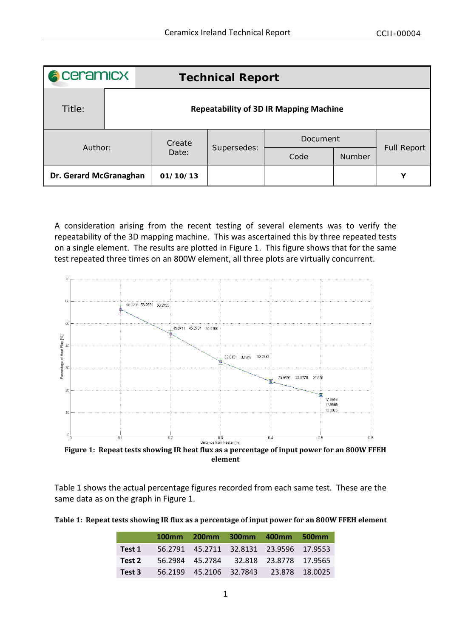| <b>A</b> ceramicx      |                                               | <b>Technical Report</b> |             |          |               |                    |  |
|------------------------|-----------------------------------------------|-------------------------|-------------|----------|---------------|--------------------|--|
| Title:                 | <b>Repeatability of 3D IR Mapping Machine</b> |                         |             |          |               |                    |  |
| Author:                |                                               | Create<br>Date:         | Supersedes: | Document |               |                    |  |
|                        |                                               |                         |             | Code     | <b>Number</b> | <b>Full Report</b> |  |
| Dr. Gerard McGranaghan |                                               | 01/10/13                |             |          |               | Y                  |  |

A consideration arising from the recent testing of several elements was to verify the repeatability of the 3D mapping machine. This was ascertained this by three repeated tests on a single element. The results are plotted in [Figure 1.](#page-0-0) This figure shows that for the same test repeated three times on an 800W element, all three plots are virtually concurrent.



<span id="page-0-0"></span>**Figure 1: Repeat tests showing IR heat flux as a percentage of input power for an 800W FFEH element** 

[Table 1](#page-0-1) shows the actual percentage figures recorded from each same test. These are the same data as on the graph in [Figure 1.](#page-0-0)

<span id="page-0-1"></span>**Table 1: Repeat tests showing IR flux as a percentage of input power for an 800W FFEH element**

|        | 100mm | 200mm 300mm 400mm 500mm                 |  |
|--------|-------|-----------------------------------------|--|
| Test 1 |       | 56.2791 45.2711 32.8131 23.9596 17.9553 |  |
| Test 2 |       | 56.2984 45.2784 32.818 23.8778 17.9565  |  |
| Test 3 |       | 56.2199 45.2106 32.7843 23.878 18.0025  |  |